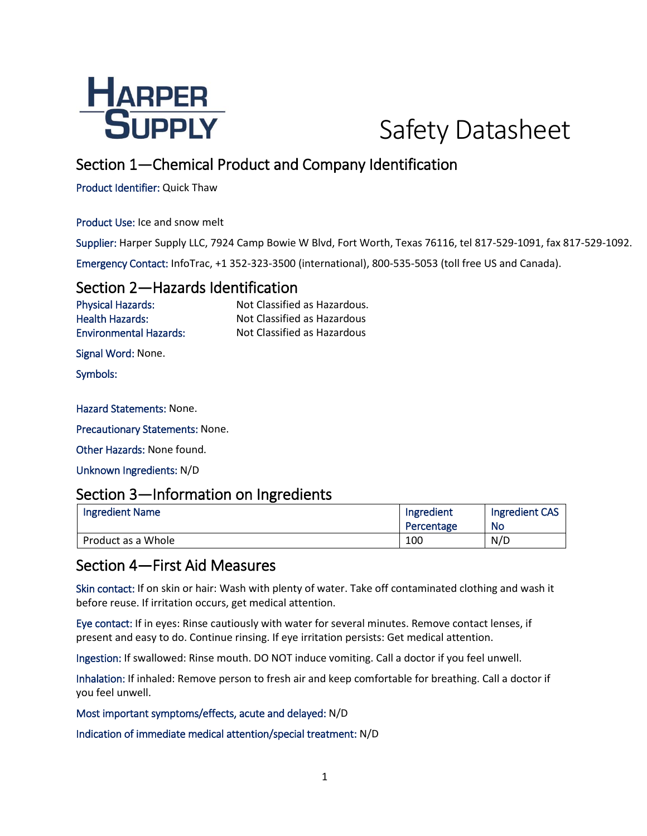

# Safety Datasheet

# Section 1—Chemical Product and Company Identification

Product Identifier: Quick Thaw

Product Use: Ice and snow melt

Supplier: Harper Supply LLC, 7924 Camp Bowie W Blvd, Fort Worth, Texas 76116, tel 817-529-1091, fax 817-529-1092. Emergency Contact: InfoTrac, +1 352-323-3500 (international), 800-535-5053 (toll free US and Canada).

### Section 2—Hazards Identification

Physical Hazards: Not Classified as Hazardous. Health Hazards: Not Classified as Hazardous Environmental Hazards: Not Classified as Hazardous

Signal Word: None.

Symbols:

#### Hazard Statements: None.

Precautionary Statements: None.

Other Hazards: None found.

Unknown Ingredients: N/D

#### Section 3—Information on Ingredients

| <b>Ingredient Name</b> | Ingredient | <b>Ingredient CAS</b> |
|------------------------|------------|-----------------------|
|                        | Percentage | No                    |
| Product as a Whole     | 100        | N/D                   |

### Section 4—First Aid Measures

Skin contact: If on skin or hair: Wash with plenty of water. Take off contaminated clothing and wash it before reuse. If irritation occurs, get medical attention.

Eye contact: If in eyes: Rinse cautiously with water for several minutes. Remove contact lenses, if present and easy to do. Continue rinsing. If eye irritation persists: Get medical attention.

Ingestion: If swallowed: Rinse mouth. DO NOT induce vomiting. Call a doctor if you feel unwell.

Inhalation: If inhaled: Remove person to fresh air and keep comfortable for breathing. Call a doctor if you feel unwell.

Most important symptoms/effects, acute and delayed: N/D

Indication of immediate medical attention/special treatment: N/D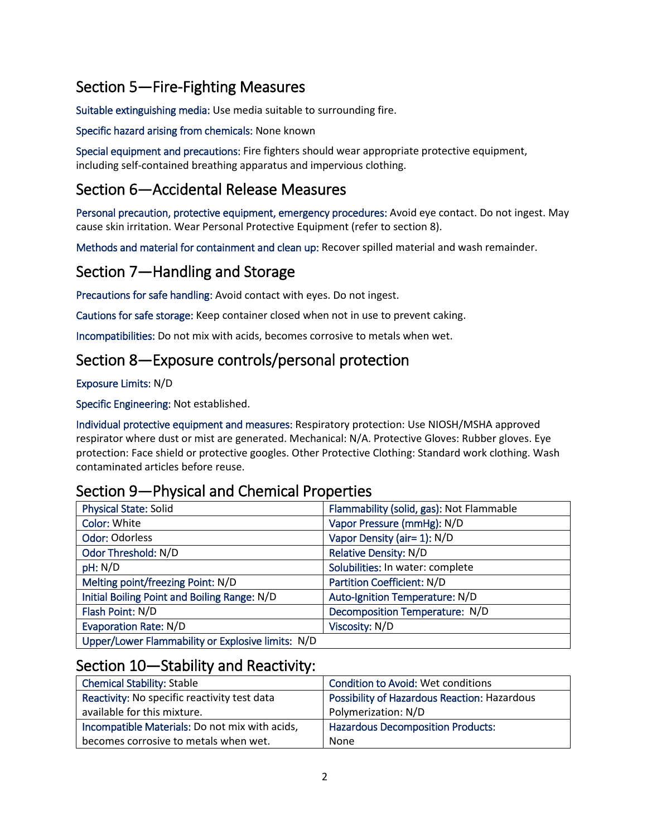# Section 5—Fire-Fighting Measures

Suitable extinguishing media: Use media suitable to surrounding fire.

Specific hazard arising from chemicals: None known

Special equipment and precautions: Fire fighters should wear appropriate protective equipment, including self-contained breathing apparatus and impervious clothing.

# Section 6—Accidental Release Measures

Personal precaution, protective equipment, emergency procedures: Avoid eye contact. Do not ingest. May cause skin irritation. Wear Personal Protective Equipment (refer to section 8).

Methods and material for containment and clean up: Recover spilled material and wash remainder.

# Section 7—Handling and Storage

Precautions for safe handling: Avoid contact with eyes. Do not ingest.

Cautions for safe storage: Keep container closed when not in use to prevent caking.

Incompatibilities: Do not mix with acids, becomes corrosive to metals when wet.

# Section 8—Exposure controls/personal protection

Exposure Limits: N/D

Specific Engineering: Not established.

Individual protective equipment and measures: Respiratory protection: Use NIOSH/MSHA approved respirator where dust or mist are generated. Mechanical: N/A. Protective Gloves: Rubber gloves. Eye protection: Face shield or protective googles. Other Protective Clothing: Standard work clothing. Wash contaminated articles before reuse.

## Section 9—Physical and Chemical Properties

| <b>Physical State: Solid</b>                      | Flammability (solid, gas): Not Flammable |
|---------------------------------------------------|------------------------------------------|
| Color: White                                      | Vapor Pressure (mmHg): N/D               |
| <b>Odor: Odorless</b>                             | Vapor Density (air= 1): N/D              |
| Odor Threshold: N/D                               | Relative Density: N/D                    |
| pH: N/D                                           | Solubilities: In water: complete         |
| Melting point/freezing Point: N/D                 | Partition Coefficient: N/D               |
| Initial Boiling Point and Boiling Range: N/D      | Auto-Ignition Temperature: N/D           |
| Flash Point: N/D                                  | Decomposition Temperature: N/D           |
| <b>Evaporation Rate: N/D</b>                      | Viscosity: N/D                           |
| Upper/Lower Flammability or Explosive limits: N/D |                                          |

## Section 10—Stability and Reactivity:

| <b>Chemical Stability: Stable</b>              | <b>Condition to Avoid: Wet conditions</b>           |
|------------------------------------------------|-----------------------------------------------------|
| Reactivity: No specific reactivity test data   | <b>Possibility of Hazardous Reaction: Hazardous</b> |
| available for this mixture.                    | Polymerization: N/D                                 |
| Incompatible Materials: Do not mix with acids, | <b>Hazardous Decomposition Products:</b>            |
| becomes corrosive to metals when wet.          | None                                                |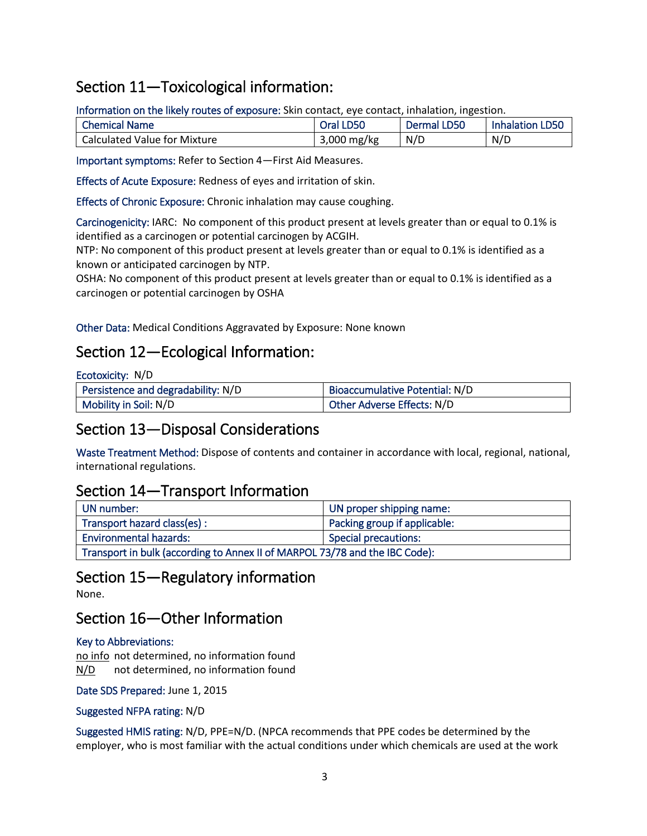# Section 11—Toxicological information:

Information on the likely routes of exposure: Skin contact, eye contact, inhalation, ingestion.

| <b>Chemical Name</b>         | Oral LD50   | Dermal LD50 | <b>Inhalation LD50</b> |
|------------------------------|-------------|-------------|------------------------|
| Calculated Value for Mixture | 3,000 mg/kg | N/D         | N/D                    |

Important symptoms: Refer to Section 4—First Aid Measures.

Effects of Acute Exposure: Redness of eyes and irritation of skin.

Effects of Chronic Exposure: Chronic inhalation may cause coughing.

Carcinogenicity: IARC: No component of this product present at levels greater than or equal to 0.1% is identified as a carcinogen or potential carcinogen by ACGIH.

NTP: No component of this product present at levels greater than or equal to 0.1% is identified as a known or anticipated carcinogen by NTP.

OSHA: No component of this product present at levels greater than or equal to 0.1% is identified as a carcinogen or potential carcinogen by OSHA

Other Data: Medical Conditions Aggravated by Exposure: None known

#### Section 12—Ecological Information:

| Ecotoxicity: N/D                   |                                |
|------------------------------------|--------------------------------|
| Persistence and degradability: N/D | Bioaccumulative Potential: N/D |
| Mobility in Soil: N/D              | Other Adverse Effects: N/D     |

### Section 13—Disposal Considerations

Waste Treatment Method: Dispose of contents and container in accordance with local, regional, national, international regulations.

#### Section 14—Transport Information

| UN number:                                                                  | UN proper shipping name:     |
|-----------------------------------------------------------------------------|------------------------------|
| Transport hazard class(es):                                                 | Packing group if applicable: |
| <b>Environmental hazards:</b>                                               | Special precautions:         |
| Transport in bulk (according to Annex II of MARPOL 73/78 and the IBC Code): |                              |

#### Section 15—Regulatory information

None.

### Section 16—Other Information

#### Key to Abbreviations:

no info not determined, no information found N/D not determined, no information found

#### Date SDS Prepared: June 1, 2015

#### Suggested NFPA rating: N/D

Suggested HMIS rating: N/D, PPE=N/D. (NPCA recommends that PPE codes be determined by the employer, who is most familiar with the actual conditions under which chemicals are used at the work